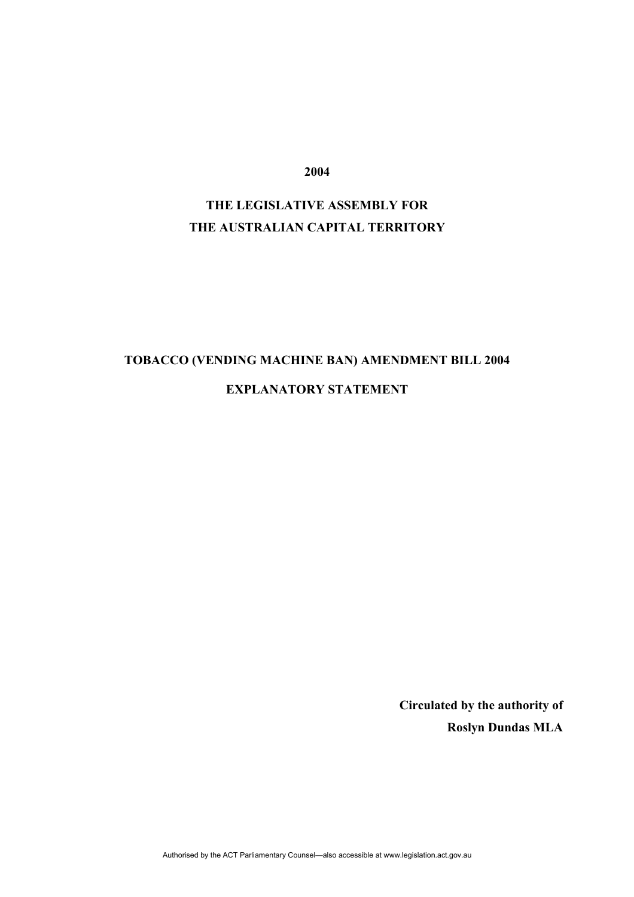**2004** 

# **THE LEGISLATIVE ASSEMBLY FOR THE AUSTRALIAN CAPITAL TERRITORY**

# **TOBACCO (VENDING MACHINE BAN) AMENDMENT BILL 2004**

## **EXPLANATORY STATEMENT**

 **Circulated by the authority of Roslyn Dundas MLA**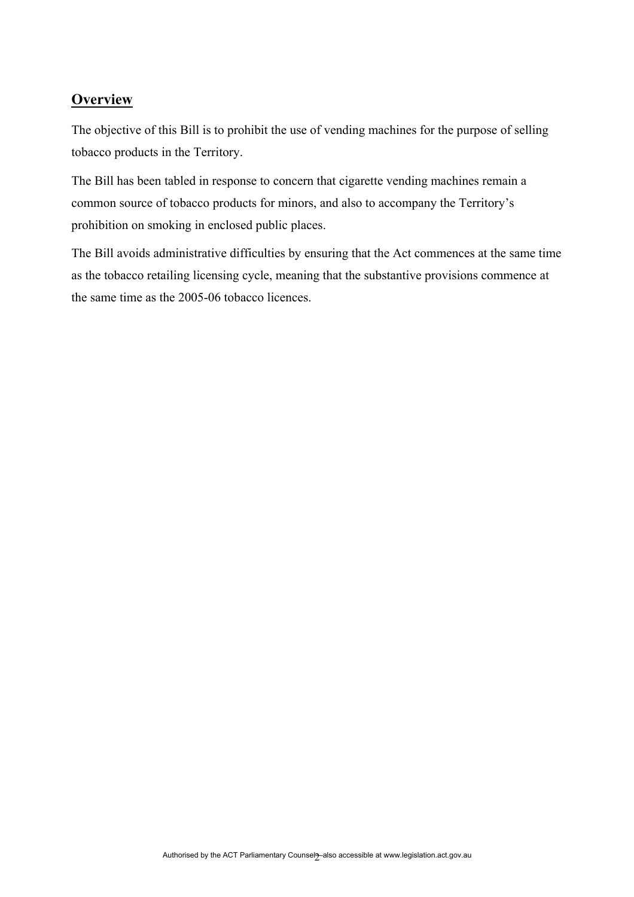# **Overview**

The objective of this Bill is to prohibit the use of vending machines for the purpose of selling tobacco products in the Territory.

The Bill has been tabled in response to concern that cigarette vending machines remain a common source of tobacco products for minors, and also to accompany the Territory's prohibition on smoking in enclosed public places.

The Bill avoids administrative difficulties by ensuring that the Act commences at the same time as the tobacco retailing licensing cycle, meaning that the substantive provisions commence at the same time as the 2005-06 tobacco licences.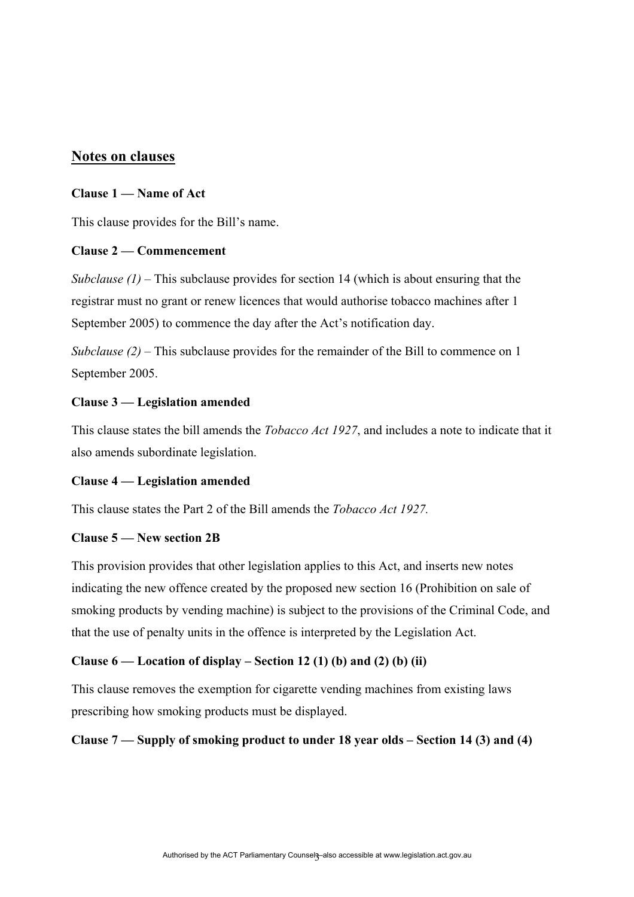## **Notes on clauses**

## **Clause 1 — Name of Act**

This clause provides for the Bill's name.

### **Clause 2 — Commencement**

*Subclause (1)* – This subclause provides for section 14 (which is about ensuring that the registrar must no grant or renew licences that would authorise tobacco machines after 1 September 2005) to commence the day after the Act's notification day.

*Subclause (2)* – This subclause provides for the remainder of the Bill to commence on 1 September 2005.

## **Clause 3 — Legislation amended**

This clause states the bill amends the *Tobacco Act 1927*, and includes a note to indicate that it also amends subordinate legislation.

#### **Clause 4 — Legislation amended**

This clause states the Part 2 of the Bill amends the *Tobacco Act 1927.*

#### **Clause 5 — New section 2B**

This provision provides that other legislation applies to this Act, and inserts new notes indicating the new offence created by the proposed new section 16 (Prohibition on sale of smoking products by vending machine) is subject to the provisions of the Criminal Code, and that the use of penalty units in the offence is interpreted by the Legislation Act.

## **Clause 6 — Location of display – Section 12 (1) (b) and (2) (b) (ii)**

This clause removes the exemption for cigarette vending machines from existing laws prescribing how smoking products must be displayed.

## **Clause 7 — Supply of smoking product to under 18 year olds – Section 14 (3) and (4)**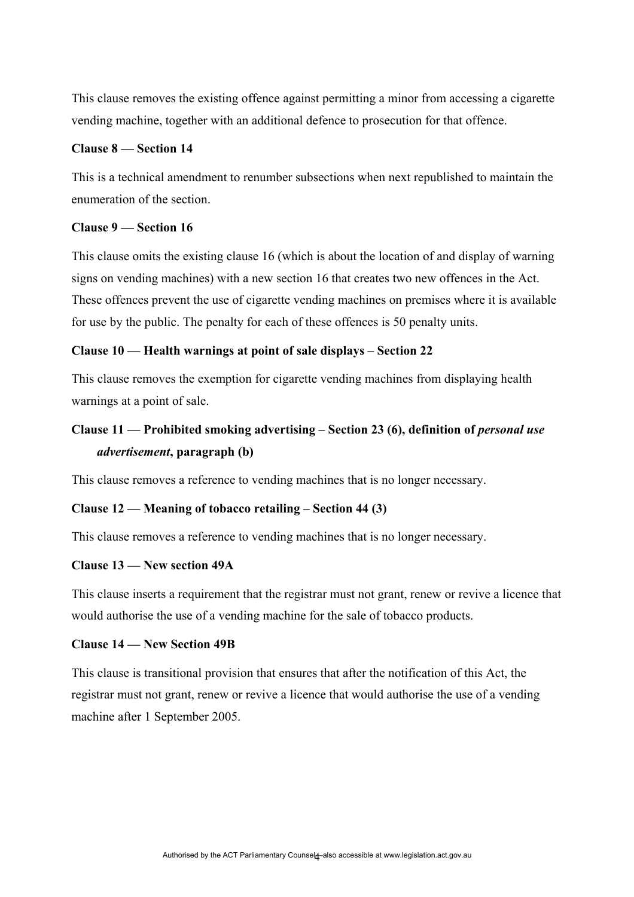This clause removes the existing offence against permitting a minor from accessing a cigarette vending machine, together with an additional defence to prosecution for that offence.

#### **Clause 8 — Section 14**

This is a technical amendment to renumber subsections when next republished to maintain the enumeration of the section.

### **Clause 9 — Section 16**

This clause omits the existing clause 16 (which is about the location of and display of warning signs on vending machines) with a new section 16 that creates two new offences in the Act. These offences prevent the use of cigarette vending machines on premises where it is available for use by the public. The penalty for each of these offences is 50 penalty units.

#### **Clause 10 — Health warnings at point of sale displays – Section 22**

This clause removes the exemption for cigarette vending machines from displaying health warnings at a point of sale.

# Clause 11 — Prohibited smoking advertising – Section 23 (6), definition of *personal use advertisement***, paragraph (b)**

This clause removes a reference to vending machines that is no longer necessary.

#### **Clause 12 — Meaning of tobacco retailing – Section 44 (3)**

This clause removes a reference to vending machines that is no longer necessary.

### **Clause 13 — New section 49A**

This clause inserts a requirement that the registrar must not grant, renew or revive a licence that would authorise the use of a vending machine for the sale of tobacco products.

#### **Clause 14 — New Section 49B**

This clause is transitional provision that ensures that after the notification of this Act, the registrar must not grant, renew or revive a licence that would authorise the use of a vending machine after 1 September 2005.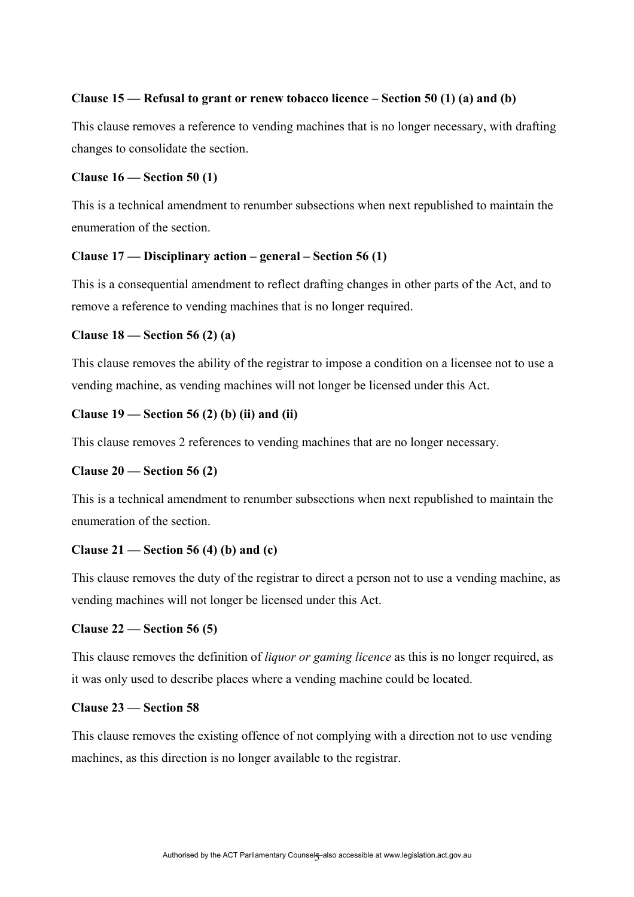## **Clause 15 — Refusal to grant or renew tobacco licence – Section 50 (1) (a) and (b)**

This clause removes a reference to vending machines that is no longer necessary, with drafting changes to consolidate the section.

#### **Clause 16 — Section 50 (1)**

This is a technical amendment to renumber subsections when next republished to maintain the enumeration of the section.

#### **Clause 17 — Disciplinary action – general – Section 56 (1)**

This is a consequential amendment to reflect drafting changes in other parts of the Act, and to remove a reference to vending machines that is no longer required.

#### **Clause 18 — Section 56 (2) (a)**

This clause removes the ability of the registrar to impose a condition on a licensee not to use a vending machine, as vending machines will not longer be licensed under this Act.

## **Clause 19 — Section 56 (2) (b) (ii) and (ii)**

This clause removes 2 references to vending machines that are no longer necessary.

#### **Clause 20 — Section 56 (2)**

This is a technical amendment to renumber subsections when next republished to maintain the enumeration of the section.

#### **Clause 21 — Section 56 (4) (b) and (c)**

This clause removes the duty of the registrar to direct a person not to use a vending machine, as vending machines will not longer be licensed under this Act.

#### **Clause 22 — Section 56 (5)**

This clause removes the definition of *liquor or gaming licence* as this is no longer required, as it was only used to describe places where a vending machine could be located.

## **Clause 23 — Section 58**

This clause removes the existing offence of not complying with a direction not to use vending machines, as this direction is no longer available to the registrar.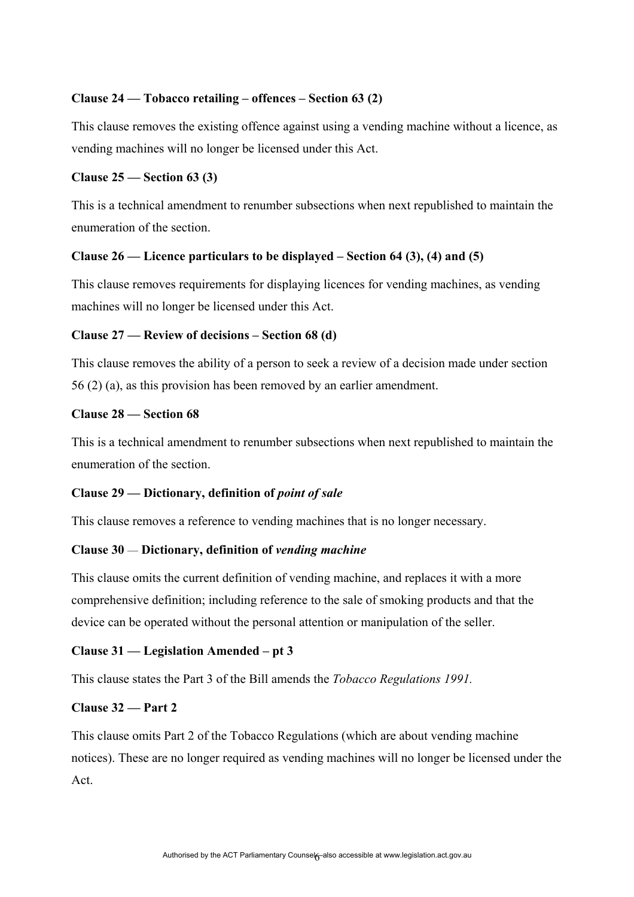## **Clause 24 — Tobacco retailing – offences – Section 63 (2)**

This clause removes the existing offence against using a vending machine without a licence, as vending machines will no longer be licensed under this Act.

#### **Clause 25 — Section 63 (3)**

This is a technical amendment to renumber subsections when next republished to maintain the enumeration of the section.

#### **Clause 26 — Licence particulars to be displayed – Section 64 (3), (4) and (5)**

This clause removes requirements for displaying licences for vending machines, as vending machines will no longer be licensed under this Act.

#### **Clause 27 — Review of decisions – Section 68 (d)**

This clause removes the ability of a person to seek a review of a decision made under section 56 (2) (a), as this provision has been removed by an earlier amendment.

## **Clause 28 — Section 68**

This is a technical amendment to renumber subsections when next republished to maintain the enumeration of the section.

#### **Clause 29 — Dictionary, definition of** *point of sale*

This clause removes a reference to vending machines that is no longer necessary.

#### **Clause 30** — **Dictionary, definition of** *vending machine*

This clause omits the current definition of vending machine, and replaces it with a more comprehensive definition; including reference to the sale of smoking products and that the device can be operated without the personal attention or manipulation of the seller.

### **Clause 31 — Legislation Amended – pt 3**

This clause states the Part 3 of the Bill amends the *Tobacco Regulations 1991.*

#### **Clause 32 — Part 2**

This clause omits Part 2 of the Tobacco Regulations (which are about vending machine notices). These are no longer required as vending machines will no longer be licensed under the Act.